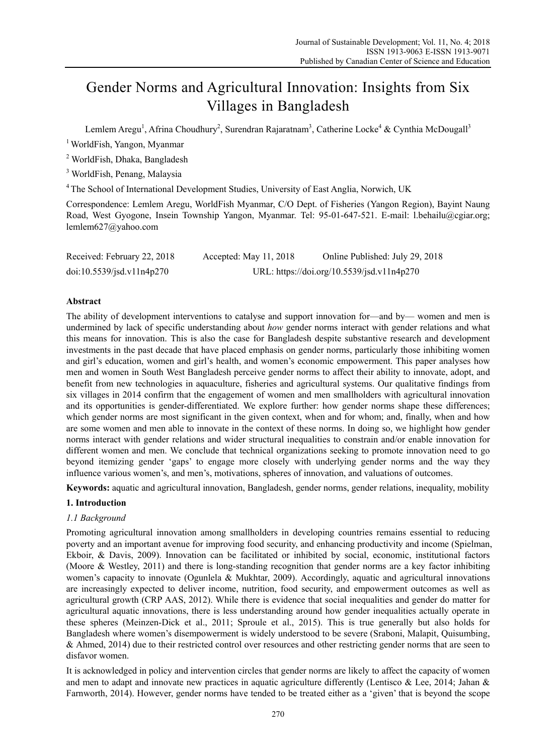# Gender Norms and Agricultural Innovation: Insights from Six Villages in Bangladesh

Lemlem Aregu<sup>1</sup>, Afrina Choudhury<sup>2</sup>, Surendran Rajaratnam<sup>3</sup>, Catherine Locke<sup>4</sup> & Cynthia McDougall<sup>3</sup>

1 WorldFish, Yangon, Myanmar

<sup>2</sup> WorldFish, Dhaka, Bangladesh

3 WorldFish, Penang, Malaysia

4 The School of International Development Studies, University of East Anglia, Norwich, UK

Correspondence: Lemlem Aregu, WorldFish Myanmar, C/O Dept. of Fisheries (Yangon Region), Bayint Naung Road, West Gyogone, Insein Township Yangon, Myanmar. Tel: 95-01-647-521. E-mail: l.behailu@cgiar.org; lemlem627@yahoo.com

| Received: February 22, 2018 | Accepted: May $11, 2018$ | Online Published: July 29, 2018            |
|-----------------------------|--------------------------|--------------------------------------------|
| doi:10.5539/jsd.v11n4p270   |                          | URL: https://doi.org/10.5539/jsd.v11n4p270 |

# **Abstract**

The ability of development interventions to catalyse and support innovation for—and by— women and men is undermined by lack of specific understanding about *how* gender norms interact with gender relations and what this means for innovation. This is also the case for Bangladesh despite substantive research and development investments in the past decade that have placed emphasis on gender norms, particularly those inhibiting women and girl's education, women and girl's health, and women's economic empowerment. This paper analyses how men and women in South West Bangladesh perceive gender norms to affect their ability to innovate, adopt, and benefit from new technologies in aquaculture, fisheries and agricultural systems. Our qualitative findings from six villages in 2014 confirm that the engagement of women and men smallholders with agricultural innovation and its opportunities is gender-differentiated. We explore further: how gender norms shape these differences; which gender norms are most significant in the given context, when and for whom; and, finally, when and how are some women and men able to innovate in the context of these norms. In doing so, we highlight how gender norms interact with gender relations and wider structural inequalities to constrain and/or enable innovation for different women and men. We conclude that technical organizations seeking to promote innovation need to go beyond itemizing gender 'gaps' to engage more closely with underlying gender norms and the way they influence various women's, and men's, motivations, spheres of innovation, and valuations of outcomes.

**Keywords:** aquatic and agricultural innovation, Bangladesh, gender norms, gender relations, inequality, mobility

# **1. Introduction**

# *1.1 Background*

Promoting agricultural innovation among smallholders in developing countries remains essential to reducing poverty and an important avenue for improving food security, and enhancing productivity and income (Spielman, Ekboir, & Davis, 2009). Innovation can be facilitated or inhibited by social, economic, institutional factors (Moore & Westley, 2011) and there is long-standing recognition that gender norms are a key factor inhibiting women's capacity to innovate (Ogunlela & Mukhtar, 2009). Accordingly, aquatic and agricultural innovations are increasingly expected to deliver income, nutrition, food security, and empowerment outcomes as well as agricultural growth (CRP AAS, 2012). While there is evidence that social inequalities and gender do matter for agricultural aquatic innovations, there is less understanding around how gender inequalities actually operate in these spheres (Meinzen-Dick et al., 2011; Sproule et al., 2015). This is true generally but also holds for Bangladesh where women's disempowerment is widely understood to be severe (Sraboni, Malapit, Quisumbing, & Ahmed, 2014) due to their restricted control over resources and other restricting gender norms that are seen to disfavor women.

It is acknowledged in policy and intervention circles that gender norms are likely to affect the capacity of women and men to adapt and innovate new practices in aquatic agriculture differently (Lentisco & Lee, 2014; Jahan & Farnworth, 2014). However, gender norms have tended to be treated either as a 'given' that is beyond the scope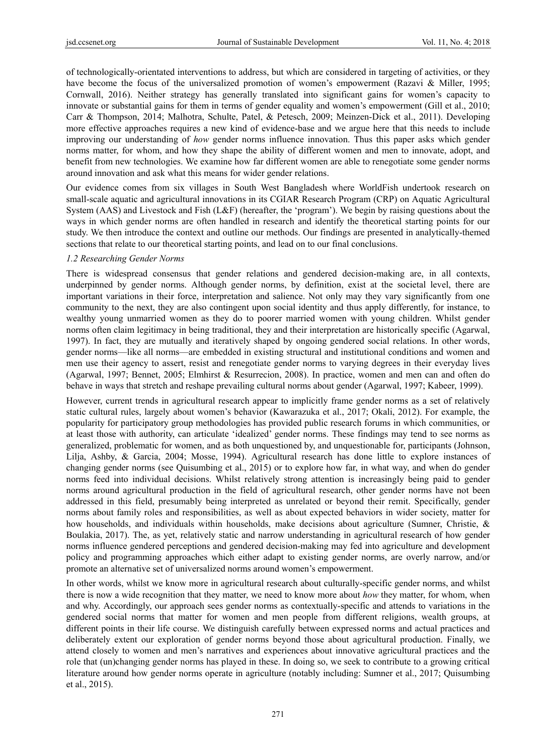of technologically-orientated interventions to address, but which are considered in targeting of activities, or they have become the focus of the universalized promotion of women's empowerment (Razavi & Miller, 1995; Cornwall, 2016). Neither strategy has generally translated into significant gains for women's capacity to innovate or substantial gains for them in terms of gender equality and women's empowerment (Gill et al., 2010; Carr & Thompson, 2014; Malhotra, Schulte, Patel, & Petesch, 2009; Meinzen-Dick et al., 2011). Developing more effective approaches requires a new kind of evidence-base and we argue here that this needs to include improving our understanding of *how* gender norms influence innovation. Thus this paper asks which gender norms matter, for whom, and how they shape the ability of different women and men to innovate, adopt, and benefit from new technologies. We examine how far different women are able to renegotiate some gender norms around innovation and ask what this means for wider gender relations.

Our evidence comes from six villages in South West Bangladesh where WorldFish undertook research on small-scale aquatic and agricultural innovations in its CGIAR Research Program (CRP) on Aquatic Agricultural System (AAS) and Livestock and Fish (L&F) (hereafter, the 'program'). We begin by raising questions about the ways in which gender norms are often handled in research and identify the theoretical starting points for our study. We then introduce the context and outline our methods. Our findings are presented in analytically-themed sections that relate to our theoretical starting points, and lead on to our final conclusions.

# *1.2 Researching Gender Norms*

There is widespread consensus that gender relations and gendered decision-making are, in all contexts, underpinned by gender norms. Although gender norms, by definition, exist at the societal level, there are important variations in their force, interpretation and salience. Not only may they vary significantly from one community to the next, they are also contingent upon social identity and thus apply differently, for instance, to wealthy young unmarried women as they do to poorer married women with young children. Whilst gender norms often claim legitimacy in being traditional, they and their interpretation are historically specific (Agarwal, 1997). In fact, they are mutually and iteratively shaped by ongoing gendered social relations. In other words, gender norms—like all norms—are embedded in existing structural and institutional conditions and women and men use their agency to assert, resist and renegotiate gender norms to varying degrees in their everyday lives (Agarwal, 1997; Bennet, 2005; Elmhirst & Resurrecion, 2008). In practice, women and men can and often do behave in ways that stretch and reshape prevailing cultural norms about gender (Agarwal, 1997; Kabeer, 1999).

However, current trends in agricultural research appear to implicitly frame gender norms as a set of relatively static cultural rules, largely about women's behavior (Kawarazuka et al., 2017; Okali, 2012). For example, the popularity for participatory group methodologies has provided public research forums in which communities, or at least those with authority, can articulate 'idealized' gender norms. These findings may tend to see norms as generalized, problematic for women, and as both unquestioned by, and unquestionable for, participants (Johnson, Lilja, Ashby, & Garcia, 2004; Mosse, 1994). Agricultural research has done little to explore instances of changing gender norms (see Quisumbing et al., 2015) or to explore how far, in what way, and when do gender norms feed into individual decisions. Whilst relatively strong attention is increasingly being paid to gender norms around agricultural production in the field of agricultural research, other gender norms have not been addressed in this field, presumably being interpreted as unrelated or beyond their remit. Specifically, gender norms about family roles and responsibilities, as well as about expected behaviors in wider society, matter for how households, and individuals within households, make decisions about agriculture (Sumner, Christie, & Boulakia, 2017). The, as yet, relatively static and narrow understanding in agricultural research of how gender norms influence gendered perceptions and gendered decision-making may fed into agriculture and development policy and programming approaches which either adapt to existing gender norms, are overly narrow, and/or promote an alternative set of universalized norms around women's empowerment.

In other words, whilst we know more in agricultural research about culturally-specific gender norms, and whilst there is now a wide recognition that they matter, we need to know more about *how* they matter, for whom, when and why. Accordingly, our approach sees gender norms as contextually-specific and attends to variations in the gendered social norms that matter for women and men people from different religions, wealth groups, at different points in their life course. We distinguish carefully between expressed norms and actual practices and deliberately extent our exploration of gender norms beyond those about agricultural production. Finally, we attend closely to women and men's narratives and experiences about innovative agricultural practices and the role that (un)changing gender norms has played in these. In doing so, we seek to contribute to a growing critical literature around how gender norms operate in agriculture (notably including: Sumner et al., 2017; Quisumbing et al., 2015).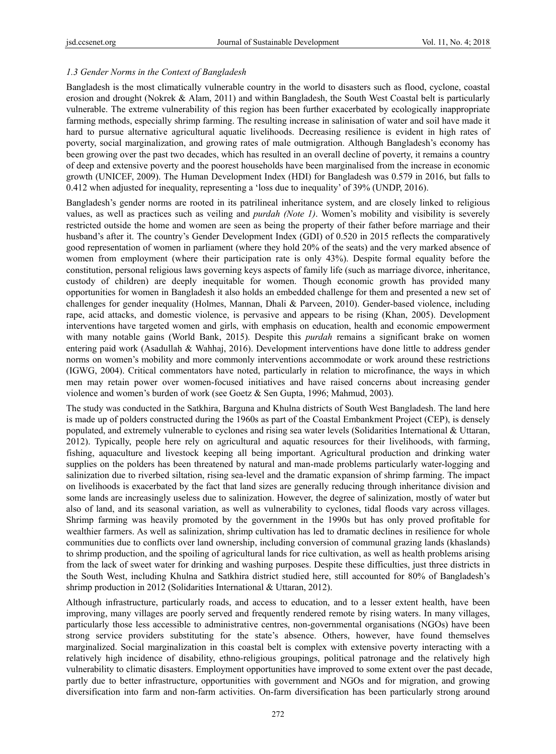# *1.3 Gender Norms in the Context of Bangladesh*

Bangladesh is the most climatically vulnerable country in the world to disasters such as flood, cyclone, coastal erosion and drought (Nokrek & Alam, 2011) and within Bangladesh, the South West Coastal belt is particularly vulnerable. The extreme vulnerability of this region has been further exacerbated by ecologically inappropriate farming methods, especially shrimp farming. The resulting increase in salinisation of water and soil have made it hard to pursue alternative agricultural aquatic livelihoods. Decreasing resilience is evident in high rates of poverty, social marginalization, and growing rates of male outmigration. Although Bangladesh's economy has been growing over the past two decades, which has resulted in an overall decline of poverty, it remains a country of deep and extensive poverty and the poorest households have been marginalised from the increase in economic growth (UNICEF, 2009). The Human Development Index (HDI) for Bangladesh was 0.579 in 2016, but falls to 0.412 when adjusted for inequality, representing a 'loss due to inequality' of 39% (UNDP, 2016).

Bangladesh's gender norms are rooted in its patrilineal inheritance system, and are closely linked to religious values, as well as practices such as veiling and *purdah (Note 1)*. Women's mobility and visibility is severely restricted outside the home and women are seen as being the property of their father before marriage and their husband's after it. The country's Gender Development Index (GDI) of 0.520 in 2015 reflects the comparatively good representation of women in parliament (where they hold 20% of the seats) and the very marked absence of women from employment (where their participation rate is only 43%). Despite formal equality before the constitution, personal religious laws governing keys aspects of family life (such as marriage divorce, inheritance, custody of children) are deeply inequitable for women. Though economic growth has provided many opportunities for women in Bangladesh it also holds an embedded challenge for them and presented a new set of challenges for gender inequality (Holmes, Mannan, Dhali & Parveen, 2010). Gender-based violence, including rape, acid attacks, and domestic violence, is pervasive and appears to be rising (Khan, 2005). Development interventions have targeted women and girls, with emphasis on education, health and economic empowerment with many notable gains (World Bank, 2015). Despite this *purdah* remains a significant brake on women entering paid work (Asadullah & Wahhaj, 2016). Development interventions have done little to address gender norms on women's mobility and more commonly interventions accommodate or work around these restrictions (IGWG, 2004). Critical commentators have noted, particularly in relation to microfinance, the ways in which men may retain power over women-focused initiatives and have raised concerns about increasing gender violence and women's burden of work (see Goetz & Sen Gupta, 1996; Mahmud, 2003).

The study was conducted in the Satkhira, Barguna and Khulna districts of South West Bangladesh. The land here is made up of polders constructed during the 1960s as part of the Coastal Embankment Project (CEP), is densely populated, and extremely vulnerable to cyclones and rising sea water levels (Solidarities International & Uttaran, 2012). Typically, people here rely on agricultural and aquatic resources for their livelihoods, with farming, fishing, aquaculture and livestock keeping all being important. Agricultural production and drinking water supplies on the polders has been threatened by natural and man-made problems particularly water-logging and salinization due to riverbed siltation, rising sea-level and the dramatic expansion of shrimp farming. The impact on livelihoods is exacerbated by the fact that land sizes are generally reducing through inheritance division and some lands are increasingly useless due to salinization. However, the degree of salinization, mostly of water but also of land, and its seasonal variation, as well as vulnerability to cyclones, tidal floods vary across villages. Shrimp farming was heavily promoted by the government in the 1990s but has only proved profitable for wealthier farmers. As well as salinization, shrimp cultivation has led to dramatic declines in resilience for whole communities due to conflicts over land ownership, including conversion of communal grazing lands (khaslands) to shrimp production, and the spoiling of agricultural lands for rice cultivation, as well as health problems arising from the lack of sweet water for drinking and washing purposes. Despite these difficulties, just three districts in the South West, including Khulna and Satkhira district studied here, still accounted for 80% of Bangladesh's shrimp production in 2012 (Solidarities International & Uttaran, 2012).

Although infrastructure, particularly roads, and access to education, and to a lesser extent health, have been improving, many villages are poorly served and frequently rendered remote by rising waters. In many villages, particularly those less accessible to administrative centres, non-governmental organisations (NGOs) have been strong service providers substituting for the state's absence. Others, however, have found themselves marginalized. Social marginalization in this coastal belt is complex with extensive poverty interacting with a relatively high incidence of disability, ethno-religious groupings, political patronage and the relatively high vulnerability to climatic disasters. Employment opportunities have improved to some extent over the past decade, partly due to better infrastructure, opportunities with government and NGOs and for migration, and growing diversification into farm and non-farm activities. On-farm diversification has been particularly strong around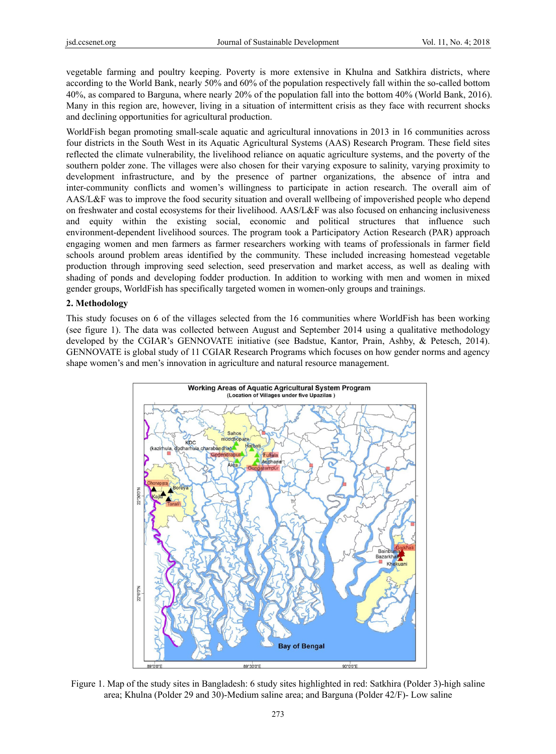vegetable farming and poultry keeping. Poverty is more extensive in Khulna and Satkhira districts, where according to the World Bank, nearly 50% and 60% of the population respectively fall within the so-called bottom 40%, as compared to Barguna, where nearly 20% of the population fall into the bottom 40% (World Bank, 2016). Many in this region are, however, living in a situation of intermittent crisis as they face with recurrent shocks and declining opportunities for agricultural production.

WorldFish began promoting small-scale aquatic and agricultural innovations in 2013 in 16 communities across four districts in the South West in its Aquatic Agricultural Systems (AAS) Research Program. These field sites reflected the climate vulnerability, the livelihood reliance on aquatic agriculture systems, and the poverty of the southern polder zone. The villages were also chosen for their varying exposure to salinity, varying proximity to development infrastructure, and by the presence of partner organizations, the absence of intra and inter-community conflicts and women's willingness to participate in action research. The overall aim of AAS/L&F was to improve the food security situation and overall wellbeing of impoverished people who depend on freshwater and costal ecosystems for their livelihood. AAS/L&F was also focused on enhancing inclusiveness and equity within the existing social, economic and political structures that influence such environment-dependent livelihood sources. The program took a Participatory Action Research (PAR) approach engaging women and men farmers as farmer researchers working with teams of professionals in farmer field schools around problem areas identified by the community. These included increasing homestead vegetable production through improving seed selection, seed preservation and market access, as well as dealing with shading of ponds and developing fodder production. In addition to working with men and women in mixed gender groups, WorldFish has specifically targeted women in women-only groups and trainings.

# **2. Methodology**

This study focuses on 6 of the villages selected from the 16 communities where WorldFish has been working (see figure 1). The data was collected between August and September 2014 using a qualitative methodology developed by the CGIAR's GENNOVATE initiative (see Badstue, Kantor, Prain, Ashby, & Petesch, 2014). GENNOVATE is global study of 11 CGIAR Research Programs which focuses on how gender norms and agency shape women's and men's innovation in agriculture and natural resource management.



Figure 1. Map of the study sites in Bangladesh: 6 study sites highlighted in red: Satkhira (Polder 3)-high saline area; Khulna (Polder 29 and 30)-Medium saline area; and Barguna (Polder 42/F)- Low saline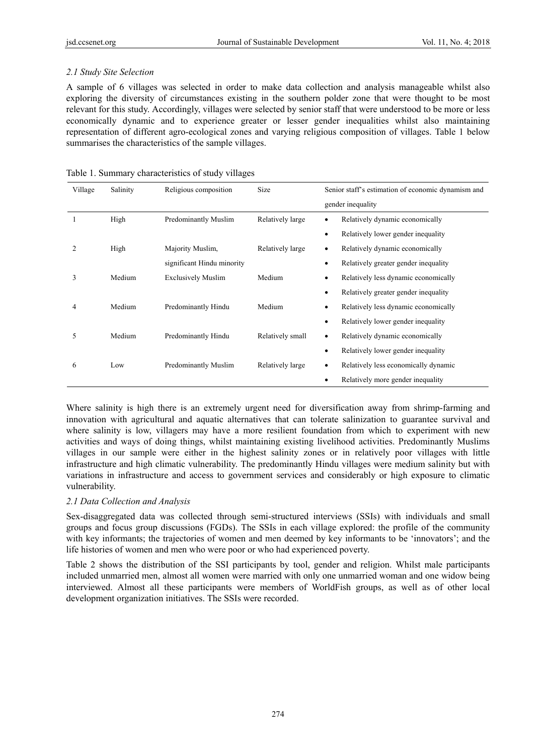# *2.1 Study Site Selection*

A sample of 6 villages was selected in order to make data collection and analysis manageable whilst also exploring the diversity of circumstances existing in the southern polder zone that were thought to be most relevant for this study. Accordingly, villages were selected by senior staff that were understood to be more or less economically dynamic and to experience greater or lesser gender inequalities whilst also maintaining representation of different agro-ecological zones and varying religious composition of villages. Table 1 below summarises the characteristics of the sample villages.

| Village        | Salinity | Religious composition      | Size             | Senior staff's estimation of economic dynamism and |
|----------------|----------|----------------------------|------------------|----------------------------------------------------|
|                |          |                            |                  | gender inequality                                  |
|                | High     | Predominantly Muslim       | Relatively large | Relatively dynamic economically<br>٠               |
|                |          |                            |                  | Relatively lower gender inequality<br>٠            |
| $\overline{c}$ | High     | Majority Muslim,           | Relatively large | Relatively dynamic economically<br>٠               |
|                |          | significant Hindu minority |                  | Relatively greater gender inequality<br>٠          |
| 3              | Medium   | <b>Exclusively Muslim</b>  | Medium           | Relatively less dynamic economically<br>٠          |
|                |          |                            |                  | Relatively greater gender inequality<br>٠          |
| 4              | Medium   | Predominantly Hindu        | Medium           | Relatively less dynamic economically<br>٠          |
|                |          |                            |                  | Relatively lower gender inequality<br>٠            |
| 5              | Medium   | Predominantly Hindu        | Relatively small | Relatively dynamic economically<br>٠               |
|                |          |                            |                  | Relatively lower gender inequality<br>٠            |
| 6              | Low      | Predominantly Muslim       | Relatively large | Relatively less economically dynamic<br>٠          |
|                |          |                            |                  | Relatively more gender inequality<br>$\bullet$     |

### Table 1. Summary characteristics of study villages

Where salinity is high there is an extremely urgent need for diversification away from shrimp-farming and innovation with agricultural and aquatic alternatives that can tolerate salinization to guarantee survival and where salinity is low, villagers may have a more resilient foundation from which to experiment with new activities and ways of doing things, whilst maintaining existing livelihood activities. Predominantly Muslims villages in our sample were either in the highest salinity zones or in relatively poor villages with little infrastructure and high climatic vulnerability. The predominantly Hindu villages were medium salinity but with variations in infrastructure and access to government services and considerably or high exposure to climatic vulnerability.

# *2.1 Data Collection and Analysis*

Sex-disaggregated data was collected through semi-structured interviews (SSIs) with individuals and small groups and focus group discussions (FGDs). The SSIs in each village explored: the profile of the community with key informants; the trajectories of women and men deemed by key informants to be 'innovators'; and the life histories of women and men who were poor or who had experienced poverty.

Table 2 shows the distribution of the SSI participants by tool, gender and religion. Whilst male participants included unmarried men, almost all women were married with only one unmarried woman and one widow being interviewed. Almost all these participants were members of WorldFish groups, as well as of other local development organization initiatives. The SSIs were recorded.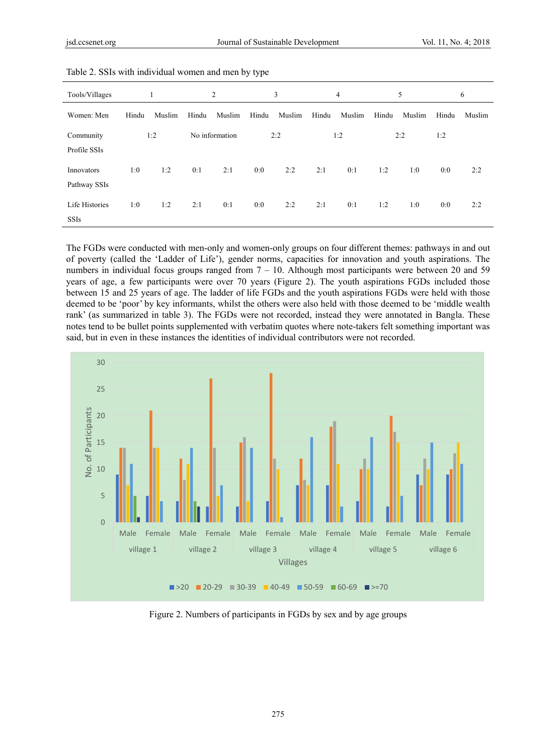| Tools/Villages | 1     |        |                | 2      |       | 3      |                 | $\overline{4}$ |                 | 5   | 6     |        |  |
|----------------|-------|--------|----------------|--------|-------|--------|-----------------|----------------|-----------------|-----|-------|--------|--|
| Women: Men     | Hindu | Muslim | Hindu          | Muslim | Hindu | Muslim | Hindu<br>Muslim |                | Hindu<br>Muslim |     | Hindu | Muslim |  |
| Community      | 1:2   |        | No information |        |       | 2:2    |                 | 1:2            |                 | 2:2 | 1:2   |        |  |
| Profile SSIs   |       |        |                |        |       |        |                 |                |                 |     |       |        |  |
| Innovators     | 1:0   | 1:2    | 0:1            | 2:1    | 0:0   | 2:2    | 2:1             | 0:1            | 1:2             | 1:0 | 0:0   | 2:2    |  |
| Pathway SSIs   |       |        |                |        |       |        |                 |                |                 |     |       |        |  |
| Life Histories | 1:0   | 1:2    | 2:1            | 0:1    | 0:0   | 2:2    | 2:1             | 0:1            | 1:2             | 1:0 | 0:0   | 2:2    |  |
| <b>SSIs</b>    |       |        |                |        |       |        |                 |                |                 |     |       |        |  |

Table 2. SSIs with individual women and men by type

The FGDs were conducted with men-only and women-only groups on four different themes: pathways in and out of poverty (called the 'Ladder of Life'), gender norms, capacities for innovation and youth aspirations. The numbers in individual focus groups ranged from  $7 - 10$ . Although most participants were between 20 and 59 years of age, a few participants were over 70 years (Figure 2). The youth aspirations FGDs included those between 15 and 25 years of age. The ladder of life FGDs and the youth aspirations FGDs were held with those deemed to be 'poor' by key informants, whilst the others were also held with those deemed to be 'middle wealth rank' (as summarized in table 3). The FGDs were not recorded, instead they were annotated in Bangla. These notes tend to be bullet points supplemented with verbatim quotes where note-takers felt something important was said, but in even in these instances the identities of individual contributors were not recorded.



Figure 2. Numbers of participants in FGDs by sex and by age groups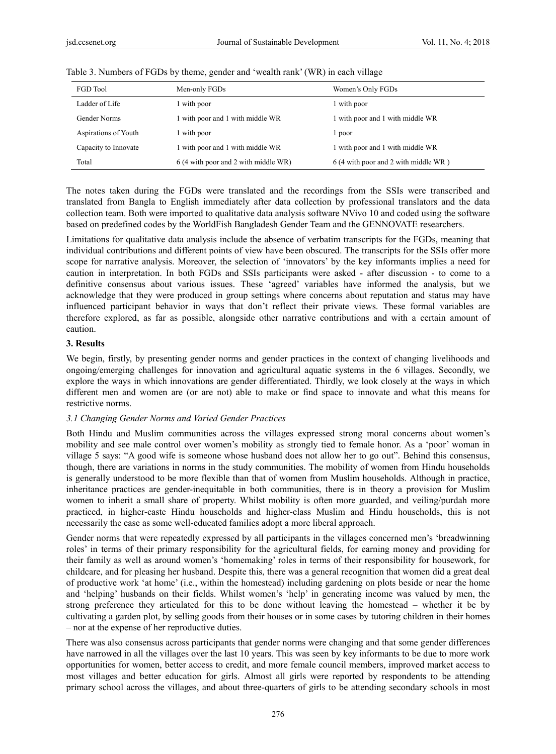| FGD Tool             | Men-only FGDs                        | Women's Only FGDs                    |
|----------------------|--------------------------------------|--------------------------------------|
| Ladder of Life       | I with poor                          | 1 with poor                          |
| Gender Norms         | 1 with poor and 1 with middle WR     | 1 with poor and 1 with middle WR     |
| Aspirations of Youth | 1 with poor                          | l poor                               |
| Capacity to Innovate | 1 with poor and 1 with middle WR     | 1 with poor and 1 with middle WR     |
| Total                | 6 (4 with poor and 2 with middle WR) | 6 (4 with poor and 2 with middle WR) |

Table 3. Numbers of FGDs by theme, gender and 'wealth rank' (WR) in each village

The notes taken during the FGDs were translated and the recordings from the SSIs were transcribed and translated from Bangla to English immediately after data collection by professional translators and the data collection team. Both were imported to qualitative data analysis software NVivo 10 and coded using the software based on predefined codes by the WorldFish Bangladesh Gender Team and the GENNOVATE researchers.

Limitations for qualitative data analysis include the absence of verbatim transcripts for the FGDs, meaning that individual contributions and different points of view have been obscured. The transcripts for the SSIs offer more scope for narrative analysis. Moreover, the selection of 'innovators' by the key informants implies a need for caution in interpretation. In both FGDs and SSIs participants were asked - after discussion - to come to a definitive consensus about various issues. These 'agreed' variables have informed the analysis, but we acknowledge that they were produced in group settings where concerns about reputation and status may have influenced participant behavior in ways that don't reflect their private views. These formal variables are therefore explored, as far as possible, alongside other narrative contributions and with a certain amount of caution.

#### **3. Results**

We begin, firstly, by presenting gender norms and gender practices in the context of changing livelihoods and ongoing/emerging challenges for innovation and agricultural aquatic systems in the 6 villages. Secondly, we explore the ways in which innovations are gender differentiated. Thirdly, we look closely at the ways in which different men and women are (or are not) able to make or find space to innovate and what this means for restrictive norms.

# *3.1 Changing Gender Norms and Varied Gender Practices*

Both Hindu and Muslim communities across the villages expressed strong moral concerns about women's mobility and see male control over women's mobility as strongly tied to female honor. As a 'poor' woman in village 5 says: "A good wife is someone whose husband does not allow her to go out". Behind this consensus, though, there are variations in norms in the study communities. The mobility of women from Hindu households is generally understood to be more flexible than that of women from Muslim households. Although in practice, inheritance practices are gender-inequitable in both communities, there is in theory a provision for Muslim women to inherit a small share of property. Whilst mobility is often more guarded, and veiling/purdah more practiced, in higher-caste Hindu households and higher-class Muslim and Hindu households, this is not necessarily the case as some well-educated families adopt a more liberal approach.

Gender norms that were repeatedly expressed by all participants in the villages concerned men's 'breadwinning roles' in terms of their primary responsibility for the agricultural fields, for earning money and providing for their family as well as around women's 'homemaking' roles in terms of their responsibility for housework, for childcare, and for pleasing her husband. Despite this, there was a general recognition that women did a great deal of productive work 'at home' (i.e., within the homestead) including gardening on plots beside or near the home and 'helping' husbands on their fields. Whilst women's 'help' in generating income was valued by men, the strong preference they articulated for this to be done without leaving the homestead – whether it be by cultivating a garden plot, by selling goods from their houses or in some cases by tutoring children in their homes – nor at the expense of her reproductive duties.

There was also consensus across participants that gender norms were changing and that some gender differences have narrowed in all the villages over the last 10 years. This was seen by key informants to be due to more work opportunities for women, better access to credit, and more female council members, improved market access to most villages and better education for girls. Almost all girls were reported by respondents to be attending primary school across the villages, and about three-quarters of girls to be attending secondary schools in most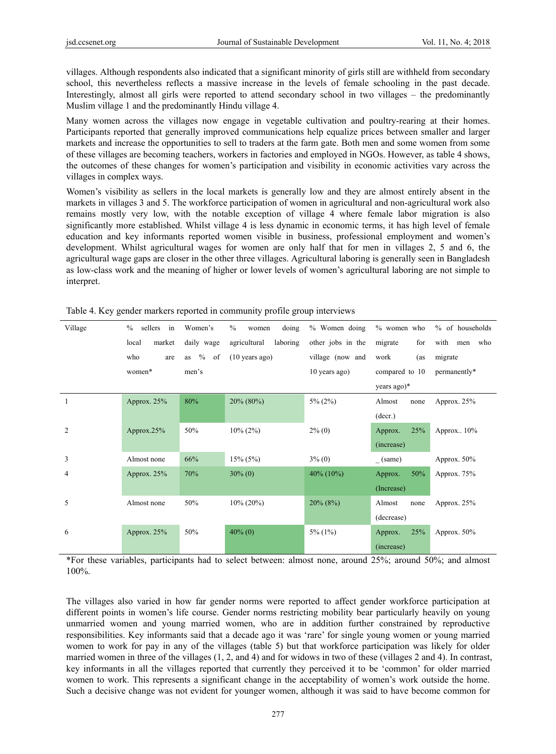villages. Although respondents also indicated that a significant minority of girls still are withheld from secondary school, this nevertheless reflects a massive increase in the levels of female schooling in the past decade. Interestingly, almost all girls were reported to attend secondary school in two villages – the predominantly Muslim village 1 and the predominantly Hindu village 4.

Many women across the villages now engage in vegetable cultivation and poultry-rearing at their homes. Participants reported that generally improved communications help equalize prices between smaller and larger markets and increase the opportunities to sell to traders at the farm gate. Both men and some women from some of these villages are becoming teachers, workers in factories and employed in NGOs. However, as table 4 shows, the outcomes of these changes for women's participation and visibility in economic activities vary across the villages in complex ways.

Women's visibility as sellers in the local markets is generally low and they are almost entirely absent in the markets in villages 3 and 5. The workforce participation of women in agricultural and non-agricultural work also remains mostly very low, with the notable exception of village 4 where female labor migration is also significantly more established. Whilst village 4 is less dynamic in economic terms, it has high level of female education and key informants reported women visible in business, professional employment and women's development. Whilst agricultural wages for women are only half that for men in villages 2, 5 and 6, the agricultural wage gaps are closer in the other three villages. Agricultural laboring is generally seen in Bangladesh as low-class work and the meaning of higher or lower levels of women's agricultural laboring are not simple to interpret.

| Village        | sellers in<br>$\%$ | Women's          | $\%$<br>doing<br>women   | % Women doing     | $%$ women who  | % of households    |
|----------------|--------------------|------------------|--------------------------|-------------------|----------------|--------------------|
|                | market<br>local    | daily wage       | agricultural<br>laboring | other jobs in the | for<br>migrate | with<br>who<br>men |
|                | who<br>are         | $\%$<br>of<br>as | $(10 \text{ years ago})$ | village (now and  | work<br>(as    | migrate            |
|                | women*             | men's            |                          | 10 years ago)     | compared to 10 | permanently*       |
|                |                    |                  |                          |                   | years $ago)*$  |                    |
|                | Approx. 25%        | 80%              | $20\% (80\%)$            | $5\% (2\%)$       | Almost<br>none | Approx. $25%$      |
|                |                    |                  |                          |                   | (decr.)        |                    |
| $\overline{c}$ | Approx. $25%$      | 50%              | $10\% (2\%)$             | $2\%$ (0)         | 25%<br>Approx. | Approx 10%         |
|                |                    |                  |                          |                   | (increase)     |                    |
| 3              | Almost none        | 66%              | $15\% (5\%)$             | $3\%$ (0)         | $_{-}$ (same)  | Approx. 50%        |
| 4              | Approx. 25%        | 70%              | $30\%$ (0)               | 40% (10%)         | 50%<br>Approx. | Approx. 75%        |
|                |                    |                  |                          |                   | (Increase)     |                    |
| 5              | Almost none        | 50%              | $10\% (20\%)$            | $20\% (8\%)$      | Almost<br>none | Approx. $25%$      |
|                |                    |                  |                          |                   | (decrease)     |                    |
| 6              | Approx. 25%        | 50%              | $40\%$ (0)               | $5\%$ (1%)        | 25%<br>Approx. | Approx. 50%        |
|                |                    |                  |                          |                   | (increase)     |                    |

Table 4. Key gender markers reported in community profile group interviews

\*For these variables, participants had to select between: almost none, around 25%; around 50%; and almost 100%.

The villages also varied in how far gender norms were reported to affect gender workforce participation at different points in women's life course. Gender norms restricting mobility bear particularly heavily on young unmarried women and young married women, who are in addition further constrained by reproductive responsibilities. Key informants said that a decade ago it was 'rare' for single young women or young married women to work for pay in any of the villages (table 5) but that workforce participation was likely for older married women in three of the villages (1, 2, and 4) and for widows in two of these (villages 2 and 4). In contrast, key informants in all the villages reported that currently they perceived it to be 'common' for older married women to work. This represents a significant change in the acceptability of women's work outside the home. Such a decisive change was not evident for younger women, although it was said to have become common for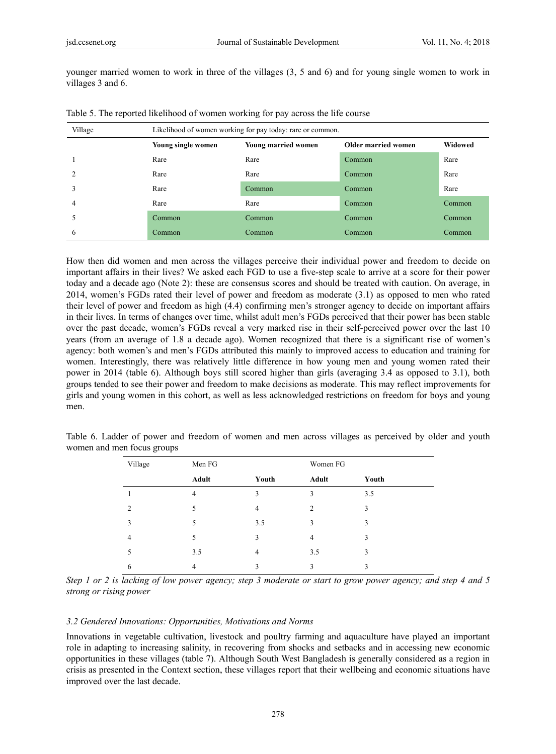younger married women to work in three of the villages (3, 5 and 6) and for young single women to work in villages 3 and 6.

| Village | Likelihood of women working for pay today: rare or common. |                     |                     |               |  |  |  |  |  |  |  |  |  |  |
|---------|------------------------------------------------------------|---------------------|---------------------|---------------|--|--|--|--|--|--|--|--|--|--|
|         | Young single women                                         | Young married women | Older married women | Widowed       |  |  |  |  |  |  |  |  |  |  |
|         | Rare                                                       | Rare                | Common              | Rare          |  |  |  |  |  |  |  |  |  |  |
|         | Rare                                                       | Rare                | Common              | Rare          |  |  |  |  |  |  |  |  |  |  |
|         | Rare                                                       | Common              | Common              | Rare          |  |  |  |  |  |  |  |  |  |  |
| 4       | Rare                                                       | Rare                | Common              | <b>Common</b> |  |  |  |  |  |  |  |  |  |  |
|         | Common                                                     | Common              | Common              | Common        |  |  |  |  |  |  |  |  |  |  |
| 6       | Common                                                     | Common              | <b>Common</b>       | Common        |  |  |  |  |  |  |  |  |  |  |

Table 5. The reported likelihood of women working for pay across the life course

How then did women and men across the villages perceive their individual power and freedom to decide on important affairs in their lives? We asked each FGD to use a five-step scale to arrive at a score for their power today and a decade ago (Note 2): these are consensus scores and should be treated with caution. On average, in 2014, women's FGDs rated their level of power and freedom as moderate (3.1) as opposed to men who rated their level of power and freedom as high (4.4) confirming men's stronger agency to decide on important affairs in their lives. In terms of changes over time, whilst adult men's FGDs perceived that their power has been stable over the past decade, women's FGDs reveal a very marked rise in their self-perceived power over the last 10 years (from an average of 1.8 a decade ago). Women recognized that there is a significant rise of women's agency: both women's and men's FGDs attributed this mainly to improved access to education and training for women. Interestingly, there was relatively little difference in how young men and young women rated their power in 2014 (table 6). Although boys still scored higher than girls (averaging 3.4 as opposed to 3.1), both groups tended to see their power and freedom to make decisions as moderate. This may reflect improvements for girls and young women in this cohort, as well as less acknowledged restrictions on freedom for boys and young men.

|                            |  |  |  |  |  |  | Table 6. Ladder of power and freedom of women and men across villages as perceived by older and youth |  |  |
|----------------------------|--|--|--|--|--|--|-------------------------------------------------------------------------------------------------------|--|--|
| women and men focus groups |  |  |  |  |  |  |                                                                                                       |  |  |

| Village | Men FG       |       | Women FG       |       |  |
|---------|--------------|-------|----------------|-------|--|
|         | <b>Adult</b> | Youth | Adult          | Youth |  |
|         | 4            | 3     | 3              | 3.5   |  |
| 2       | 5            | 4     | $\overline{c}$ | 3     |  |
| 3       | 5            | 3.5   | 3              | 3     |  |
| 4       | 5            | 3     | 4              | 3     |  |
| 5       | 3.5          | 4     | 3.5            | 3     |  |
| 6       | 4            |       | 3              | 3     |  |

*Step 1 or 2 is lacking of low power agency; step 3 moderate or start to grow power agency; and step 4 and 5 strong or rising power* 

#### *3.2 Gendered Innovations: Opportunities, Motivations and Norms*

Innovations in vegetable cultivation, livestock and poultry farming and aquaculture have played an important role in adapting to increasing salinity, in recovering from shocks and setbacks and in accessing new economic opportunities in these villages (table 7). Although South West Bangladesh is generally considered as a region in crisis as presented in the Context section, these villages report that their wellbeing and economic situations have improved over the last decade.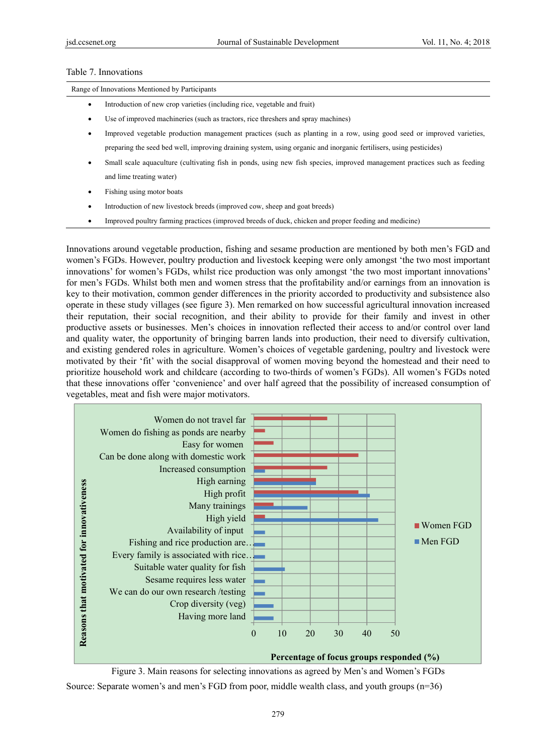#### Table 7. Innovations

Range of Innovations Mentioned by Participants

- Introduction of new crop varieties (including rice, vegetable and fruit)
- Use of improved machineries (such as tractors, rice threshers and spray machines)
- Improved vegetable production management practices (such as planting in a row, using good seed or improved varieties, preparing the seed bed well, improving draining system, using organic and inorganic fertilisers, using pesticides)
- Small scale aquaculture (cultivating fish in ponds, using new fish species, improved management practices such as feeding and lime treating water)
- Fishing using motor boats
- Introduction of new livestock breeds (improved cow, sheep and goat breeds)
- Improved poultry farming practices (improved breeds of duck, chicken and proper feeding and medicine)

Innovations around vegetable production, fishing and sesame production are mentioned by both men's FGD and women's FGDs. However, poultry production and livestock keeping were only amongst 'the two most important innovations' for women's FGDs, whilst rice production was only amongst 'the two most important innovations' for men's FGDs. Whilst both men and women stress that the profitability and/or earnings from an innovation is key to their motivation, common gender differences in the priority accorded to productivity and subsistence also operate in these study villages (see figure 3). Men remarked on how successful agricultural innovation increased their reputation, their social recognition, and their ability to provide for their family and invest in other productive assets or businesses. Men's choices in innovation reflected their access to and/or control over land and quality water, the opportunity of bringing barren lands into production, their need to diversify cultivation, and existing gendered roles in agriculture. Women's choices of vegetable gardening, poultry and livestock were motivated by their 'fit' with the social disapproval of women moving beyond the homestead and their need to prioritize household work and childcare (according to two-thirds of women's FGDs). All women's FGDs noted that these innovations offer 'convenience' and over half agreed that the possibility of increased consumption of vegetables, meat and fish were major motivators.



Figure 3. Main reasons for selecting innovations as agreed by Men's and Women's FGDs Source: Separate women's and men's FGD from poor, middle wealth class, and youth groups (n=36)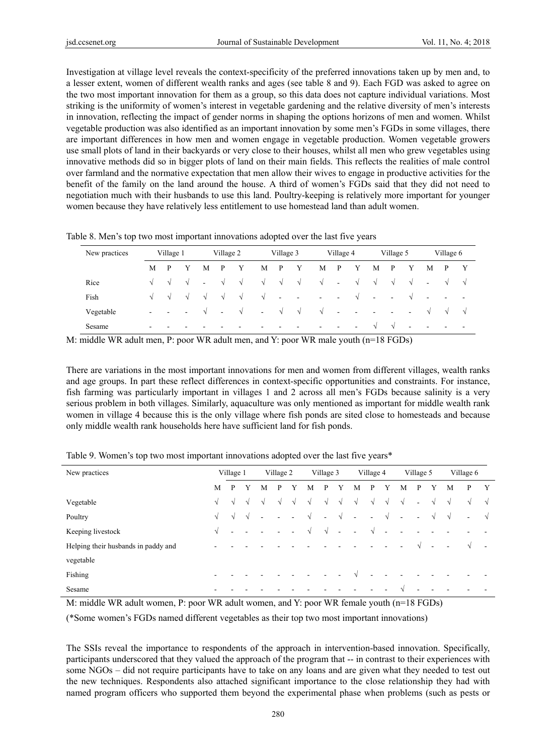Investigation at village level reveals the context-specificity of the preferred innovations taken up by men and, to a lesser extent, women of different wealth ranks and ages (see table 8 and 9). Each FGD was asked to agree on the two most important innovation for them as a group, so this data does not capture individual variations. Most striking is the uniformity of women's interest in vegetable gardening and the relative diversity of men's interests in innovation, reflecting the impact of gender norms in shaping the options horizons of men and women. Whilst vegetable production was also identified as an important innovation by some men's FGDs in some villages, there are important differences in how men and women engage in vegetable production. Women vegetable growers use small plots of land in their backyards or very close to their houses, whilst all men who grew vegetables using innovative methods did so in bigger plots of land on their main fields. This reflects the realities of male control over farmland and the normative expectation that men allow their wives to engage in productive activities for the benefit of the family on the land around the house. A third of women's FGDs said that they did not need to negotiation much with their husbands to use this land. Poultry-keeping is relatively more important for younger women because they have relatively less entitlement to use homestead land than adult women.

| New practices | Village 1                |            |                          | Village 2      |            |                          | Village 3                |                          |                          | Village 4                |                          |                          | Village 5                |            | Village 6                |                          |   |   |
|---------------|--------------------------|------------|--------------------------|----------------|------------|--------------------------|--------------------------|--------------------------|--------------------------|--------------------------|--------------------------|--------------------------|--------------------------|------------|--------------------------|--------------------------|---|---|
|               | M                        | P          | Y                        | M              | P          | Y                        | M                        | $\mathbf{P}$             | Y                        | M                        | P                        | Y                        | M                        | P          | Y                        | M                        | P | Y |
| Rice          | V                        | $\sqrt{ }$ | $\sqrt{ }$               | $\blacksquare$ | V          | $\sqrt{ }$               | $\sqrt{ }$               | $\sqrt{ }$               | $\sqrt{ }$               | $\sqrt{ }$               | $\overline{\phantom{a}}$ | V                        | $\sqrt{ }$               | V          | $\sqrt{ }$               | $\sim$                   |   | V |
| Fish          | $\sqrt{ }$               | V          | V                        | V              | $\sqrt{ }$ | $\sqrt{ }$               | $\sqrt{ }$               | $\overline{\phantom{a}}$ | $\overline{\phantom{a}}$ | $\overline{\phantom{a}}$ | $\overline{\phantom{a}}$ | N                        | $\overline{\phantom{a}}$ | ٠          |                          | $\overline{\phantom{0}}$ | - | ٠ |
| Vegetable     | $\overline{\phantom{a}}$ |            | $\overline{\phantom{a}}$ | N              | ۰          | V                        | $\sim$                   | $\sqrt{ }$               | $\sqrt{ }$               | $\sqrt{ }$               | $\overline{\phantom{a}}$ | -                        | $\overline{\phantom{a}}$ | ۰          | $\overline{\phantom{a}}$ | $\sqrt{ }$               |   | V |
| Sesame        | $\overline{\phantom{a}}$ |            | $\overline{\phantom{a}}$ |                |            | $\overline{\phantom{a}}$ | $\overline{\phantom{a}}$ |                          | $\overline{\phantom{a}}$ | ٠                        | $\overline{\phantom{a}}$ | $\overline{\phantom{a}}$ | $\sqrt{ }$               | $\sqrt{ }$ | $\overline{\phantom{a}}$ | $\overline{\phantom{a}}$ | - | ٠ |

Table 8. Men's top two most important innovations adopted over the last five years

M: middle WR adult men, P: poor WR adult men, and Y: poor WR male youth (n=18 FGDs)

There are variations in the most important innovations for men and women from different villages, wealth ranks and age groups. In part these reflect differences in context-specific opportunities and constraints. For instance, fish farming was particularly important in villages 1 and 2 across all men's FGDs because salinity is a very serious problem in both villages. Similarly, aquaculture was only mentioned as important for middle wealth rank women in village 4 because this is the only village where fish ponds are sited close to homesteads and because only middle wealth rank households here have sufficient land for fish ponds.

| New practices                       | Village 1  |            |            | Village 2                |            |            | Village 3  |            |            | Village 4                |                          |            |                | Village 5 |            | Village 6  |            |                          |
|-------------------------------------|------------|------------|------------|--------------------------|------------|------------|------------|------------|------------|--------------------------|--------------------------|------------|----------------|-----------|------------|------------|------------|--------------------------|
|                                     | M          | P          | Y          | M                        | P          | Y          | М          | P          | Y          | M                        | P                        | Y          | M              | P         | Y          | M          | P          | Y                        |
| Vegetable                           | $\sqrt{ }$ | $\sqrt{ }$ | $\sqrt{ }$ | $\sqrt{ }$               | $\sqrt{ }$ | $\sqrt{ }$ | $\sqrt{ }$ | $\sqrt{ }$ | $\sqrt{ }$ | $\sqrt{ }$               | $\sqrt{ }$               | $\sqrt{ }$ | $\sqrt{ }$     | $\sim$    | $\sqrt{ }$ | $\sqrt{ }$ | $\sqrt{ }$ | $\sqrt{ }$               |
| Poultry                             | $\sqrt{ }$ | $\sqrt{ }$ | $\sqrt{ }$ | $\overline{\phantom{a}}$ |            |            | $\sqrt{ }$ | $\sim$     | $\sqrt{ }$ | $\overline{\phantom{a}}$ | $\overline{\phantom{0}}$ | V          | $\blacksquare$ |           | V          | $\sqrt{ }$ | $\sim$     | $\sqrt{ }$               |
| Keeping livestock                   | V          | ۰          |            |                          |            |            | N          | $\sqrt{ }$ |            |                          |                          |            |                |           |            |            |            |                          |
| Helping their husbands in paddy and |            |            |            |                          |            |            |            |            |            |                          |                          |            |                | $\sim$    |            |            | V          | $\overline{\phantom{a}}$ |
| vegetable                           |            |            |            |                          |            |            |            |            |            |                          |                          |            |                |           |            |            |            |                          |
| Fishing                             |            |            |            |                          |            |            |            |            |            |                          |                          |            |                |           |            |            |            |                          |
| Sesame                              |            |            |            |                          |            |            |            |            |            |                          |                          |            |                |           |            |            |            |                          |

Table 9. Women's top two most important innovations adopted over the last five years\*

M: middle WR adult women, P: poor WR adult women, and Y: poor WR female youth (n=18 FGDs)

(\*Some women's FGDs named different vegetables as their top two most important innovations)

The SSIs reveal the importance to respondents of the approach in intervention-based innovation. Specifically, participants underscored that they valued the approach of the program that -- in contrast to their experiences with some NGOs – did not require participants have to take on any loans and are given what they needed to test out the new techniques. Respondents also attached significant importance to the close relationship they had with named program officers who supported them beyond the experimental phase when problems (such as pests or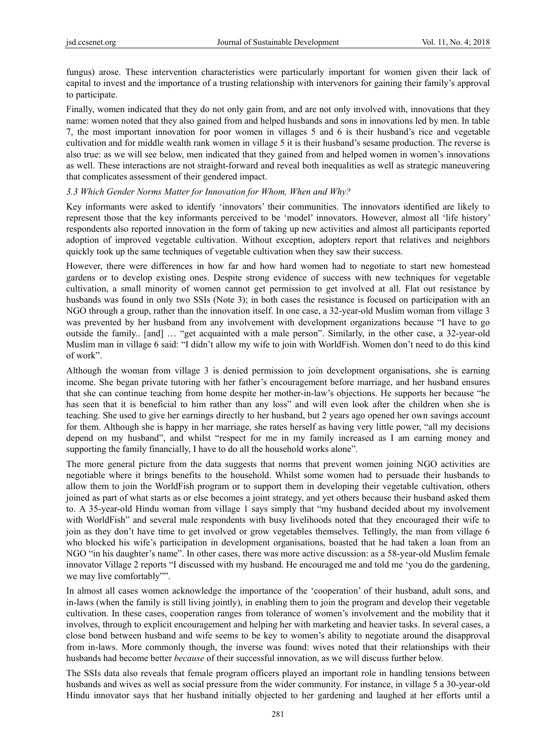fungus) arose. These intervention characteristics were particularly important for women given their lack of capital to invest and the importance of a trusting relationship with intervenors for gaining their family's approval to participate.

Finally, women indicated that they do not only gain from, and are not only involved with, innovations that they name: women noted that they also gained from and helped husbands and sons in innovations led by men. In table 7, the most important innovation for poor women in villages 5 and 6 is their husband's rice and vegetable cultivation and for middle wealth rank women in village 5 it is their husband's sesame production. The reverse is also true: as we will see below, men indicated that they gained from and helped women in women's innovations as well. These interactions are not straight-forward and reveal both inequalities as well as strategic maneuvering that complicates assessment of their gendered impact.

# *3.3 Which Gender Norms Matter for Innovation for Whom, When and Why?*

Key informants were asked to identify 'innovators' their communities. The innovators identified are likely to represent those that the key informants perceived to be 'model' innovators. However, almost all 'life history' respondents also reported innovation in the form of taking up new activities and almost all participants reported adoption of improved vegetable cultivation. Without exception, adopters report that relatives and neighbors quickly took up the same techniques of vegetable cultivation when they saw their success.

However, there were differences in how far and how hard women had to negotiate to start new homestead gardens or to develop existing ones. Despite strong evidence of success with new techniques for vegetable cultivation, a small minority of women cannot get permission to get involved at all. Flat out resistance by husbands was found in only two SSIs (Note 3); in both cases the resistance is focused on participation with an NGO through a group, rather than the innovation itself. In one case, a 32-year-old Muslim woman from village 3 was prevented by her husband from any involvement with development organizations because "I have to go outside the family.. [and] … "get acquainted with a male person". Similarly, in the other case, a 32-year-old Muslim man in village 6 said: "I didn't allow my wife to join with WorldFish. Women don't need to do this kind of work".

Although the woman from village 3 is denied permission to join development organisations, she is earning income. She began private tutoring with her father's encouragement before marriage, and her husband ensures that she can continue teaching from home despite her mother-in-law's objections. He supports her because "he has seen that it is beneficial to him rather than any loss" and will even look after the children when she is teaching. She used to give her earnings directly to her husband, but 2 years ago opened her own savings account for them. Although she is happy in her marriage, she rates herself as having very little power, "all my decisions depend on my husband", and whilst "respect for me in my family increased as I am earning money and supporting the family financially, I have to do all the household works alone".

The more general picture from the data suggests that norms that prevent women joining NGO activities are negotiable where it brings benefits to the household. Whilst some women had to persuade their husbands to allow them to join the WorldFish program or to support them in developing their vegetable cultivation, others joined as part of what starts as or else becomes a joint strategy, and yet others because their husband asked them to. A 35-year-old Hindu woman from village 1 says simply that "my husband decided about my involvement with WorldFish" and several male respondents with busy livelihoods noted that they encouraged their wife to join as they don't have time to get involved or grow vegetables themselves. Tellingly, the man from village 6 who blocked his wife's participation in development organisations, boasted that he had taken a loan from an NGO "in his daughter's name". In other cases, there was more active discussion: as a 58-year-old Muslim female innovator Village 2 reports "I discussed with my husband. He encouraged me and told me 'you do the gardening, we may live comfortably"".

In almost all cases women acknowledge the importance of the 'cooperation' of their husband, adult sons, and in-laws (when the family is still living jointly), in enabling them to join the program and develop their vegetable cultivation. In these cases, cooperation ranges from tolerance of women's involvement and the mobility that it involves, through to explicit encouragement and helping her with marketing and heavier tasks. In several cases, a close bond between husband and wife seems to be key to women's ability to negotiate around the disapproval from in-laws. More commonly though, the inverse was found: wives noted that their relationships with their husbands had become better *because* of their successful innovation, as we will discuss further below.

The SSIs data also reveals that female program officers played an important role in handling tensions between husbands and wives as well as social pressure from the wider community. For instance, in village 5 a 30-year-old Hindu innovator says that her husband initially objected to her gardening and laughed at her efforts until a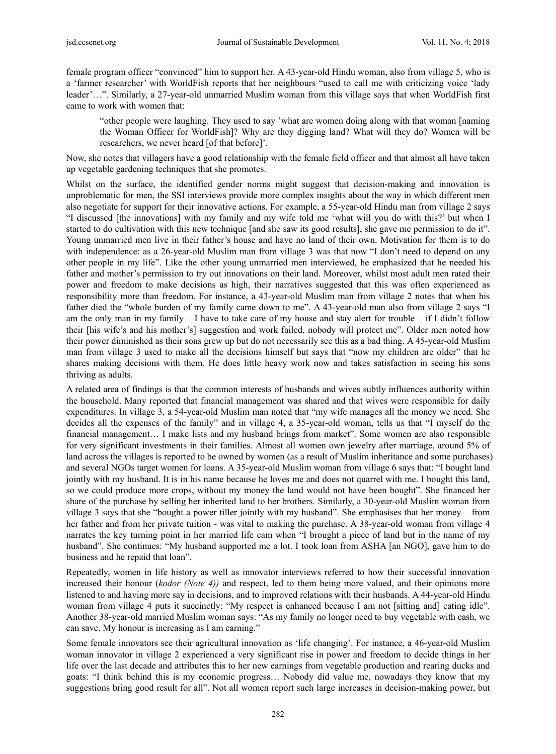female program officer "convinced" him to support her. A 43-year-old Hindu woman, also from village 5, who is a 'farmer researcher' with WorldFish reports that her neighbours "used to call me with criticizing voice 'lady leader'…". Similarly, a 27-year-old unmarried Muslim woman from this village says that when WorldFish first came to work with women that:

"other people were laughing. They used to say 'what are women doing along with that woman [naming the Woman Officer for WorldFish]? Why are they digging land? What will they do? Women will be researchers, we never heard [of that before]'.

Now, she notes that villagers have a good relationship with the female field officer and that almost all have taken up vegetable gardening techniques that she promotes.

Whilst on the surface, the identified gender norms might suggest that decision-making and innovation is unproblematic for men, the SSI interviews provide more complex insights about the way in which different men also negotiate for support for their innovative actions. For example, a 55-year-old Hindu man from village 2 says "I discussed [the innovations] with my family and my wife told me 'what will you do with this?' but when I started to do cultivation with this new technique [and she saw its good results], she gave me permission to do it". Young unmarried men live in their father's house and have no land of their own. Motivation for them is to do with independence: as a 26-year-old Muslim man from village 3 was that now "I don't need to depend on any other people in my life". Like the other young unmarried men interviewed, he emphasized that he needed his father and mother's permission to try out innovations on their land. Moreover, whilst most adult men rated their power and freedom to make decisions as high, their narratives suggested that this was often experienced as responsibility more than freedom. For instance, a 43-year-old Muslim man from village 2 notes that when his father died the "whole burden of my family came down to me". A 43-year-old man also from village 2 says "I am the only man in my family  $- I$  have to take care of my house and stay alert for trouble  $- if I didn't follow$ their [his wife's and his mother's] suggestion and work failed, nobody will protect me". Older men noted how their power diminished as their sons grew up but do not necessarily see this as a bad thing. A 45-year-old Muslim man from village 3 used to make all the decisions himself but says that "now my children are older" that he shares making decisions with them. He does little heavy work now and takes satisfaction in seeing his sons thriving as adults.

A related area of findings is that the common interests of husbands and wives subtly influences authority within the household. Many reported that financial management was shared and that wives were responsible for daily expenditures. In village 3, a 54-year-old Muslim man noted that "my wife manages all the money we need. She decides all the expenses of the family" and in village 4, a 35-year-old woman, tells us that "I myself do the financial management… I make lists and my husband brings from market". Some women are also responsible for very significant investments in their families. Almost all women own jewelry after marriage, around 5% of land across the villages is reported to be owned by women (as a result of Muslim inheritance and some purchases) and several NGOs target women for loans. A 35-year-old Muslim woman from village 6 says that: "I bought land jointly with my husband. It is in his name because he loves me and does not quarrel with me. I bought this land, so we could produce more crops, without my money the land would not have been bought". She financed her share of the purchase by selling her inherited land to her brothers. Similarly, a 30-year-old Muslim woman from village 3 says that she "bought a power tiller jointly with my husband". She emphasises that her money – from her father and from her private tuition - was vital to making the purchase. A 38-year-old woman from village 4 narrates the key turning point in her married life cam when "I brought a piece of land but in the name of my husband". She continues: "My husband supported me a lot. I took loan from ASHA [an NGO], gave him to do business and he repaid that loan".

Repeatedly, women in life history as well as innovator interviews referred to how their successful innovation increased their honour (*kodor (Note 4))* and respect, led to them being more valued, and their opinions more listened to and having more say in decisions, and to improved relations with their husbands. A 44-year-old Hindu woman from village 4 puts it succinctly: "My respect is enhanced because I am not [sitting and] eating idle". Another 38-year-old married Muslim woman says: "As my family no longer need to buy vegetable with cash, we can save. My honour is increasing as I am earning."

Some female innovators see their agricultural innovation as 'life changing'. For instance, a 46-year-old Muslim woman innovator in village 2 experienced a very significant rise in power and freedom to decide things in her life over the last decade and attributes this to her new earnings from vegetable production and rearing ducks and goats: "I think behind this is my economic progress… Nobody did value me, nowadays they know that my suggestions bring good result for all". Not all women report such large increases in decision-making power, but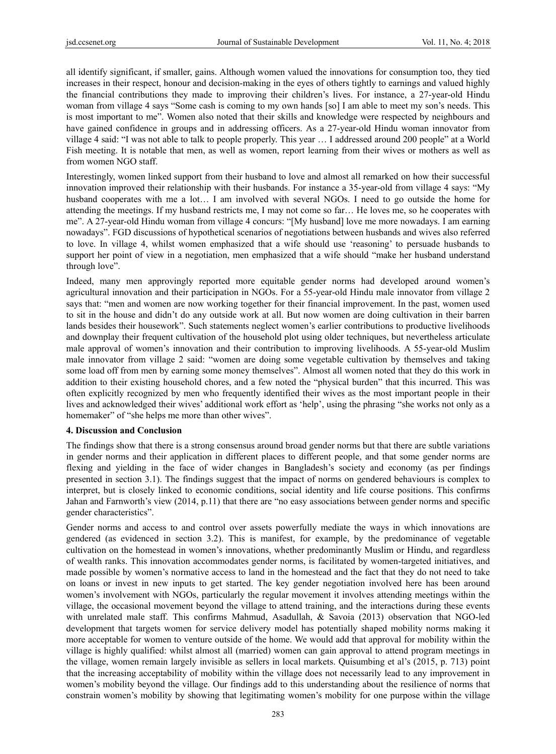all identify significant, if smaller, gains. Although women valued the innovations for consumption too, they tied increases in their respect, honour and decision-making in the eyes of others tightly to earnings and valued highly the financial contributions they made to improving their children's lives. For instance, a 27-year-old Hindu woman from village 4 says "Some cash is coming to my own hands [so] I am able to meet my son's needs. This is most important to me". Women also noted that their skills and knowledge were respected by neighbours and have gained confidence in groups and in addressing officers. As a 27-year-old Hindu woman innovator from village 4 said: "I was not able to talk to people properly. This year … I addressed around 200 people" at a World Fish meeting. It is notable that men, as well as women, report learning from their wives or mothers as well as from women NGO staff.

Interestingly, women linked support from their husband to love and almost all remarked on how their successful innovation improved their relationship with their husbands. For instance a 35-year-old from village 4 says: "My husband cooperates with me a lot... I am involved with several NGOs. I need to go outside the home for attending the meetings. If my husband restricts me, I may not come so far… He loves me, so he cooperates with me". A 27-year-old Hindu woman from village 4 concurs: "[My husband] love me more nowadays. I am earning nowadays". FGD discussions of hypothetical scenarios of negotiations between husbands and wives also referred to love. In village 4, whilst women emphasized that a wife should use 'reasoning' to persuade husbands to support her point of view in a negotiation, men emphasized that a wife should "make her husband understand through love".

Indeed, many men approvingly reported more equitable gender norms had developed around women's agricultural innovation and their participation in NGOs. For a 55-year-old Hindu male innovator from village 2 says that: "men and women are now working together for their financial improvement. In the past, women used to sit in the house and didn't do any outside work at all. But now women are doing cultivation in their barren lands besides their housework". Such statements neglect women's earlier contributions to productive livelihoods and downplay their frequent cultivation of the household plot using older techniques, but nevertheless articulate male approval of women's innovation and their contribution to improving livelihoods. A 55-year-old Muslim male innovator from village 2 said: "women are doing some vegetable cultivation by themselves and taking some load off from men by earning some money themselves". Almost all women noted that they do this work in addition to their existing household chores, and a few noted the "physical burden" that this incurred. This was often explicitly recognized by men who frequently identified their wives as the most important people in their lives and acknowledged their wives' additional work effort as 'help', using the phrasing "she works not only as a homemaker" of "she helps me more than other wives".

# **4. Discussion and Conclusion**

The findings show that there is a strong consensus around broad gender norms but that there are subtle variations in gender norms and their application in different places to different people, and that some gender norms are flexing and yielding in the face of wider changes in Bangladesh's society and economy (as per findings presented in section 3.1). The findings suggest that the impact of norms on gendered behaviours is complex to interpret, but is closely linked to economic conditions, social identity and life course positions. This confirms Jahan and Farnworth's view (2014, p.11) that there are "no easy associations between gender norms and specific gender characteristics".

Gender norms and access to and control over assets powerfully mediate the ways in which innovations are gendered (as evidenced in section 3.2). This is manifest, for example, by the predominance of vegetable cultivation on the homestead in women's innovations, whether predominantly Muslim or Hindu, and regardless of wealth ranks. This innovation accommodates gender norms, is facilitated by women-targeted initiatives, and made possible by women's normative access to land in the homestead and the fact that they do not need to take on loans or invest in new inputs to get started. The key gender negotiation involved here has been around women's involvement with NGOs, particularly the regular movement it involves attending meetings within the village, the occasional movement beyond the village to attend training, and the interactions during these events with unrelated male staff. This confirms Mahmud, Asadullah, & Savoia (2013) observation that NGO-led development that targets women for service delivery model has potentially shaped mobility norms making it more acceptable for women to venture outside of the home. We would add that approval for mobility within the village is highly qualified: whilst almost all (married) women can gain approval to attend program meetings in the village, women remain largely invisible as sellers in local markets. Quisumbing et al's (2015, p. 713) point that the increasing acceptability of mobility within the village does not necessarily lead to any improvement in women's mobility beyond the village. Our findings add to this understanding about the resilience of norms that constrain women's mobility by showing that legitimating women's mobility for one purpose within the village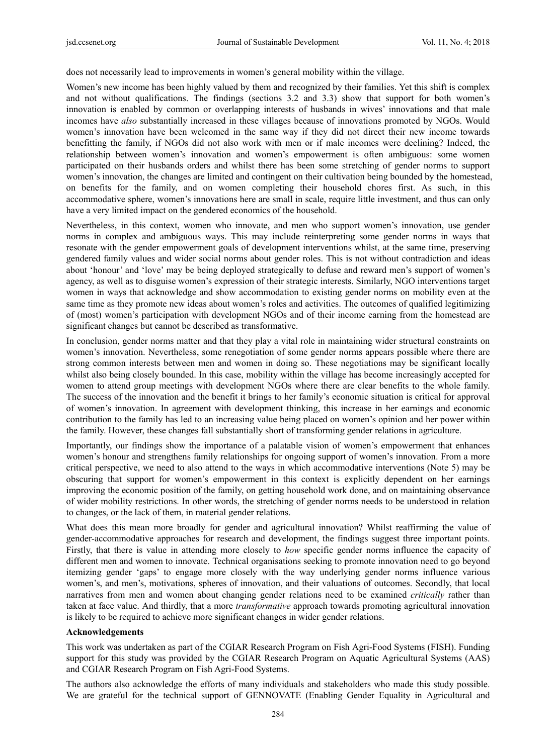does not necessarily lead to improvements in women's general mobility within the village.

Women's new income has been highly valued by them and recognized by their families. Yet this shift is complex and not without qualifications. The findings (sections 3.2 and 3.3) show that support for both women's innovation is enabled by common or overlapping interests of husbands in wives' innovations and that male incomes have *also* substantially increased in these villages because of innovations promoted by NGOs. Would women's innovation have been welcomed in the same way if they did not direct their new income towards benefitting the family, if NGOs did not also work with men or if male incomes were declining? Indeed, the relationship between women's innovation and women's empowerment is often ambiguous: some women participated on their husbands orders and whilst there has been some stretching of gender norms to support women's innovation, the changes are limited and contingent on their cultivation being bounded by the homestead, on benefits for the family, and on women completing their household chores first. As such, in this accommodative sphere, women's innovations here are small in scale, require little investment, and thus can only have a very limited impact on the gendered economics of the household.

Nevertheless, in this context, women who innovate, and men who support women's innovation, use gender norms in complex and ambiguous ways. This may include reinterpreting some gender norms in ways that resonate with the gender empowerment goals of development interventions whilst, at the same time, preserving gendered family values and wider social norms about gender roles. This is not without contradiction and ideas about 'honour' and 'love' may be being deployed strategically to defuse and reward men's support of women's agency, as well as to disguise women's expression of their strategic interests. Similarly, NGO interventions target women in ways that acknowledge and show accommodation to existing gender norms on mobility even at the same time as they promote new ideas about women's roles and activities. The outcomes of qualified legitimizing of (most) women's participation with development NGOs and of their income earning from the homestead are significant changes but cannot be described as transformative.

In conclusion, gender norms matter and that they play a vital role in maintaining wider structural constraints on women's innovation. Nevertheless, some renegotiation of some gender norms appears possible where there are strong common interests between men and women in doing so. These negotiations may be significant locally whilst also being closely bounded. In this case, mobility within the village has become increasingly accepted for women to attend group meetings with development NGOs where there are clear benefits to the whole family. The success of the innovation and the benefit it brings to her family's economic situation is critical for approval of women's innovation. In agreement with development thinking, this increase in her earnings and economic contribution to the family has led to an increasing value being placed on women's opinion and her power within the family. However, these changes fall substantially short of transforming gender relations in agriculture.

Importantly, our findings show the importance of a palatable vision of women's empowerment that enhances women's honour and strengthens family relationships for ongoing support of women's innovation. From a more critical perspective, we need to also attend to the ways in which accommodative interventions (Note 5) may be obscuring that support for women's empowerment in this context is explicitly dependent on her earnings improving the economic position of the family, on getting household work done, and on maintaining observance of wider mobility restrictions. In other words, the stretching of gender norms needs to be understood in relation to changes, or the lack of them, in material gender relations.

What does this mean more broadly for gender and agricultural innovation? Whilst reaffirming the value of gender-accommodative approaches for research and development, the findings suggest three important points. Firstly, that there is value in attending more closely to *how* specific gender norms influence the capacity of different men and women to innovate. Technical organisations seeking to promote innovation need to go beyond itemizing gender 'gaps' to engage more closely with the way underlying gender norms influence various women's, and men's, motivations, spheres of innovation, and their valuations of outcomes. Secondly, that local narratives from men and women about changing gender relations need to be examined *critically* rather than taken at face value. And thirdly, that a more *transformative* approach towards promoting agricultural innovation is likely to be required to achieve more significant changes in wider gender relations.

# **Acknowledgements**

This work was undertaken as part of the CGIAR Research Program on Fish Agri-Food Systems (FISH). Funding support for this study was provided by the CGIAR Research Program on Aquatic Agricultural Systems (AAS) and CGIAR Research Program on Fish Agri-Food Systems.

The authors also acknowledge the efforts of many individuals and stakeholders who made this study possible. We are grateful for the technical support of GENNOVATE (Enabling Gender Equality in Agricultural and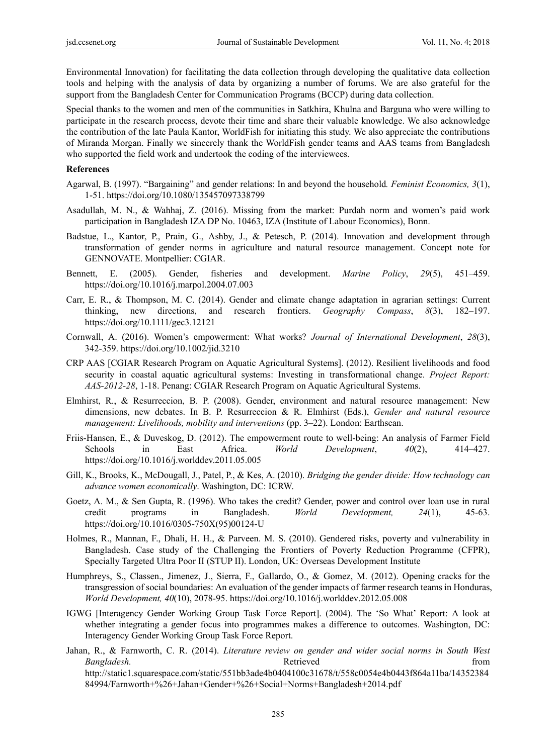Environmental Innovation) for facilitating the data collection through developing the qualitative data collection tools and helping with the analysis of data by organizing a number of forums. We are also grateful for the support from the Bangladesh Center for Communication Programs (BCCP) during data collection.

Special thanks to the women and men of the communities in Satkhira, Khulna and Barguna who were willing to participate in the research process, devote their time and share their valuable knowledge. We also acknowledge the contribution of the late Paula Kantor, WorldFish for initiating this study. We also appreciate the contributions of Miranda Morgan. Finally we sincerely thank the WorldFish gender teams and AAS teams from Bangladesh who supported the field work and undertook the coding of the interviewees.

#### **References**

- Agarwal, B. (1997). "Bargaining" and gender relations: In and beyond the household*. Feminist Economics, 3*(1), 1-51. https://doi.org/10.1080/135457097338799
- Asadullah, M. N., & Wahhaj, Z. (2016). Missing from the market: Purdah norm and women's paid work participation in Bangladesh IZA DP No. 10463, IZA (Institute of Labour Economics), Bonn.
- Badstue, L., Kantor, P., Prain, G., Ashby, J., & Petesch, P. (2014). Innovation and development through transformation of gender norms in agriculture and natural resource management. Concept note for GENNOVATE. Montpellier: CGIAR.
- Bennett, E. (2005). Gender, fisheries and development. *Marine Policy*, *29*(5), 451–459. https://doi.org/10.1016/j.marpol.2004.07.003
- Carr, E. R., & Thompson, M. C. (2014). Gender and climate change adaptation in agrarian settings: Current thinking, new directions, and research frontiers. *Geography Compass*, *8*(3), 182–197. https://doi.org/10.1111/gec3.12121
- Cornwall, A. (2016). Women's empowerment: What works? *Journal of International Development*, *28*(3), 342-359. https://doi.org/10.1002/jid.3210
- CRP AAS [CGIAR Research Program on Aquatic Agricultural Systems]. (2012). Resilient livelihoods and food security in coastal aquatic agricultural systems: Investing in transformational change. *Project Report: AAS-2012-28*, 1-18. Penang: CGIAR Research Program on Aquatic Agricultural Systems.
- Elmhirst, R., & Resurreccion, B. P. (2008). Gender, environment and natural resource management: New dimensions, new debates. In B. P. Resurreccion & R. Elmhirst (Eds.), *Gender and natural resource management: Livelihoods, mobility and interventions* (pp. 3–22). London: Earthscan.
- Friis-Hansen, E., & Duveskog, D. (2012). The empowerment route to well-being: An analysis of Farmer Field Schools in East Africa. *World Development*, *40*(2), 414–427. https://doi.org/10.1016/j.worlddev.2011.05.005
- Gill, K., Brooks, K., McDougall, J., Patel, P., & Kes, A. (2010). *Bridging the gender divide: How technology can advance women economically*. Washington, DC: ICRW.
- Goetz, A. M., & Sen Gupta, R. (1996). Who takes the credit? Gender, power and control over loan use in rural credit programs in Bangladesh. *World Development, 24*(1), 45-63. https://doi.org/10.1016/0305-750X(95)00124-U
- Holmes, R., Mannan, F., Dhali, H. H., & Parveen. M. S. (2010). Gendered risks, poverty and vulnerability in Bangladesh. Case study of the Challenging the Frontiers of Poverty Reduction Programme (CFPR), Specially Targeted Ultra Poor II (STUP II). London, UK: Overseas Development Institute
- Humphreys, S., Classen., Jimenez, J., Sierra, F., Gallardo, O., & Gomez, M. (2012). Opening cracks for the transgression of social boundaries: An evaluation of the gender impacts of farmer research teams in Honduras, *World Development, 40*(10), 2078-95. https://doi.org/10.1016/j.worlddev.2012.05.008
- IGWG [Interagency Gender Working Group Task Force Report]. (2004). The 'So What' Report: A look at whether integrating a gender focus into programmes makes a difference to outcomes. Washington, DC: Interagency Gender Working Group Task Force Report.
- Jahan, R., & Farnworth, C. R. (2014). *Literature review on gender and wider social norms in South West Bangladesh.* **Community Community Community Retrieved** from *Retrieved* from *Retrieved* from *Retrieved* http://static1.squarespace.com/static/551bb3ade4b0404100c31678/t/558c0054e4b0443f864a11ba/14352384 84994/Farnworth+%26+Jahan+Gender+%26+Social+Norms+Bangladesh+2014.pdf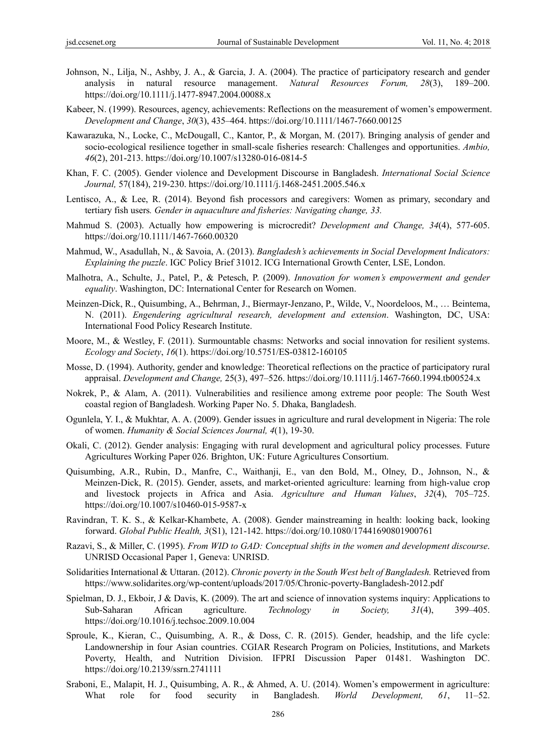- Johnson, N., Lilja, N., Ashby, J. A., & Garcia, J. A. (2004). The practice of participatory research and gender analysis in natural resource management. *Natural Resources Forum, 28*(3), 189–200. https://doi.org/10.1111/j.1477-8947.2004.00088.x
- Kabeer, N. (1999). Resources, agency, achievements: Reflections on the measurement of women's empowerment. *Development and Change*, *30*(3), 435–464. https://doi.org/10.1111/1467-7660.00125
- Kawarazuka, N., Locke, C., McDougall, C., Kantor, P., & Morgan, M. (2017). Bringing analysis of gender and socio-ecological resilience together in small-scale fisheries research: Challenges and opportunities. *Ambio, 46*(2), 201-213. https://doi.org/10.1007/s13280-016-0814-5
- Khan, F. C. (2005). Gender violence and Development Discourse in Bangladesh. *International Social Science Journal,* 57(184), 219-230. https://doi.org/10.1111/j.1468-2451.2005.546.x
- Lentisco, A., & Lee, R. (2014). Beyond fish processors and caregivers: Women as primary, secondary and tertiary fish users*. Gender in aquaculture and fisheries: Navigating change, 33.*
- Mahmud S. (2003). Actually how empowering is microcredit? *Development and Change, 34*(4), 577-605. https://doi.org/10.1111/1467-7660.00320
- Mahmud, W., Asadullah, N., & Savoia, A. (2013). *Bangladesh's achievements in Social Development Indicators: Explaining the puzzle*. IGC Policy Brief 31012. ICG International Growth Center, LSE, London.
- Malhotra, A., Schulte, J., Patel, P., & Petesch, P. (2009). *Innovation for women's empowerment and gender equality*. Washington, DC: International Center for Research on Women.
- Meinzen-Dick, R., Quisumbing, A., Behrman, J., Biermayr-Jenzano, P., Wilde, V., Noordeloos, M., … Beintema, N. (2011). *Engendering agricultural research, development and extension*. Washington, DC, USA: International Food Policy Research Institute.
- Moore, M., & Westley, F. (2011). Surmountable chasms: Networks and social innovation for resilient systems. *Ecology and Society*, *16*(1). https://doi.org/10.5751/ES-03812-160105
- Mosse, D. (1994). Authority, gender and knowledge: Theoretical reflections on the practice of participatory rural appraisal. *Development and Change,* 25(3), 497–526. https://doi.org/10.1111/j.1467-7660.1994.tb00524.x
- Nokrek, P., & Alam, A. (2011). Vulnerabilities and resilience among extreme poor people: The South West coastal region of Bangladesh. Working Paper No. 5. Dhaka, Bangladesh.
- Ogunlela, Y. I., & Mukhtar, A. A. (2009). Gender issues in agriculture and rural development in Nigeria: The role of women. *Humanity & Social Sciences Journal, 4*(1), 19-30.
- Okali, C. (2012). Gender analysis: Engaging with rural development and agricultural policy processes. Future Agricultures Working Paper 026. Brighton, UK: Future Agricultures Consortium.
- Quisumbing, A.R., Rubin, D., Manfre, C., Waithanji, E., van den Bold, M., Olney, D., Johnson, N., & Meinzen-Dick, R. (2015). Gender, assets, and market-oriented agriculture: learning from high-value crop and livestock projects in Africa and Asia. *Agriculture and Human Values*, *32*(4), 705–725. https://doi.org/10.1007/s10460-015-9587-x
- Ravindran, T. K. S., & Kelkar-Khambete, A. (2008). Gender mainstreaming in health: looking back, looking forward. *Global Public Health, 3*(S1), 121-142. https://doi.org/10.1080/17441690801900761
- Razavi, S., & Miller, C. (1995). *From WID to GAD: Conceptual shifts in the women and development discourse*. UNRISD Occasional Paper 1, Geneva: UNRISD.
- Solidarities International & Uttaran. (2012). *Chronic poverty in the South West belt of Bangladesh.* Retrieved from https://www.solidarites.org/wp-content/uploads/2017/05/Chronic-poverty-Bangladesh-2012.pdf
- Spielman, D. J., Ekboir, J & Davis, K. (2009). The art and science of innovation systems inquiry: Applications to Sub-Saharan African agriculture. *Technology in Society, 31*(4), 399–405. https://doi.org/10.1016/j.techsoc.2009.10.004
- Sproule, K., Kieran, C., Quisumbing, A. R., & Doss, C. R. (2015). Gender, headship, and the life cycle: Landownership in four Asian countries. CGIAR Research Program on Policies, Institutions, and Markets Poverty, Health, and Nutrition Division. IFPRI Discussion Paper 01481. Washington DC. https://doi.org/10.2139/ssrn.2741111
- Sraboni, E., Malapit, H. J., Quisumbing, A. R., & Ahmed, A. U. (2014). Women's empowerment in agriculture: What role for food security in Bangladesh. *World Development, 61*, 11–52.